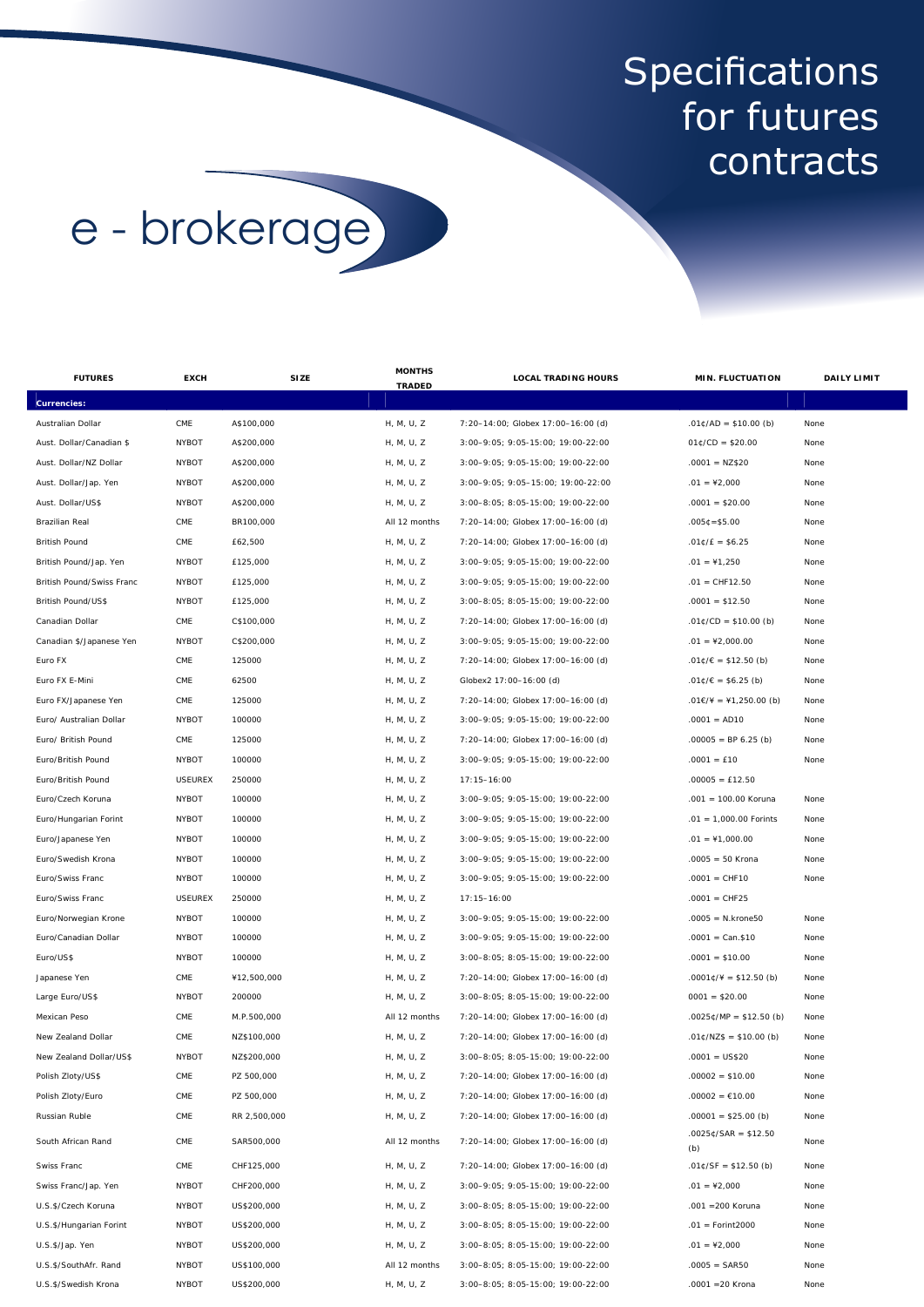## **Specifications** for futures contracts

## e - brokerage

| <b>FUTURES</b>            | <b>EXCH</b>    | <b>SIZE</b>  | <b>MONTHS</b> | <b>LOCAL TRADING HOURS</b>         | <b>MIN. FLUCTUATION</b>                 | <b>DAILY LIMIT</b> |
|---------------------------|----------------|--------------|---------------|------------------------------------|-----------------------------------------|--------------------|
| <b>Currencies:</b>        |                |              | <b>TRADED</b> |                                    |                                         |                    |
| Australian Dollar         | CME            | A\$100,000   | H, M, U, Z    | 7:20-14:00; Globex 17:00-16:00 (d) | $.01¢/AD = $10.00 (b)$                  | None               |
| Aust. Dollar/Canadian \$  | <b>NYBOT</b>   | A\$200,000   | H, M, U, Z    | 3:00-9:05; 9:05-15:00; 19:00-22:00 | $01¢/CD = $20.00$                       | None               |
| Aust. Dollar/NZ Dollar    | <b>NYBOT</b>   | A\$200,000   | H, M, U, Z    | 3:00-9:05; 9:05-15:00; 19:00-22:00 | $.0001 = NZ$20$                         | None               |
| Aust. Dollar/Jap. Yen     | <b>NYBOT</b>   | A\$200,000   | H, M, U, Z    | 3:00-9:05; 9:05-15:00; 19:00-22:00 | $.01 = 42,000$                          | None               |
| Aust. Dollar/US\$         | <b>NYBOT</b>   | A\$200,000   | H, M, U, Z    | 3:00-8:05; 8:05-15:00; 19:00-22:00 | $.0001 = $20.00$                        | None               |
| Brazilian Real            | CME            | BR100,000    | All 12 months | 7:20-14:00; Globex 17:00-16:00 (d) | $.005C = $5.00$                         | None               |
| <b>British Pound</b>      | CME            | £62,500      | H, M, U, Z    | 7:20-14:00; Globex 17:00-16:00 (d) | $.01$ $C/E = $6.25$                     | None               |
| British Pound/Jap. Yen    | <b>NYBOT</b>   | £125,000     | H, M, U, Z    | 3:00-9:05; 9:05-15:00; 19:00-22:00 | $.01 = 41,250$                          | None               |
| British Pound/Swiss Franc | <b>NYBOT</b>   | £125,000     | H, M, U, Z    | 3:00-9:05; 9:05-15:00; 19:00-22:00 | $.01 = CHF12.50$                        | None               |
| British Pound/US\$        | <b>NYBOT</b>   | £125,000     | H, M, U, Z    | 3:00-8:05; 8:05-15:00; 19:00-22:00 | $.0001 = $12.50$                        | None               |
| Canadian Dollar           | CME            | C\$100,000   | H, M, U, Z    | 7:20-14:00; Globex 17:00-16:00 (d) | $.01¢/CD = $10.00 (b)$                  | None               |
| Canadian \$/Japanese Yen  | <b>NYBOT</b>   | C\$200,000   | H, M, U, Z    | 3:00-9:05; 9:05-15:00; 19:00-22:00 | $.01 = 42,000.00$                       | None               |
| Euro FX                   | CME            | 125000       | H, M, U, Z    | 7:20-14:00; Globex 17:00-16:00 (d) | $.01¢/\varepsilon = $12.50$ (b)         | None               |
| Euro FX E-Mini            | CME            | 62500        | H, M, U, Z    | Globex2 17:00-16:00 (d)            | $.01¢/€ = $6.25(b)$                     | None               |
| Euro FX/Japanese Yen      | CME            | 125000       | H, M, U, Z    | 7:20-14:00; Globex 17:00-16:00 (d) | $.01 \in / \frac{4}{7} = 41,250.00$ (b) | None               |
| Euro/ Australian Dollar   | <b>NYBOT</b>   | 100000       | H, M, U, Z    | 3:00-9:05; 9:05-15:00; 19:00-22:00 | $.0001 = AD10$                          | None               |
| Euro/ British Pound       | CME            | 125000       | H, M, U, Z    | 7:20-14:00; Globex 17:00-16:00 (d) | $.00005 = BP 6.25 (b)$                  | None               |
| Euro/British Pound        | <b>NYBOT</b>   | 100000       | H, M, U, Z    | 3:00-9:05; 9:05-15:00; 19:00-22:00 | $.0001 = £10$                           | None               |
| Euro/British Pound        | <b>USEUREX</b> | 250000       | H, M, U, Z    | $17:15 - 16:00$                    | $.00005 = £12.50$                       |                    |
| Euro/Czech Koruna         | <b>NYBOT</b>   | 100000       | H, M, U, Z    | 3:00-9:05; 9:05-15:00; 19:00-22:00 | .001 = 100.00 Koruna                    | None               |
| Euro/Hungarian Forint     | <b>NYBOT</b>   | 100000       | H, M, U, Z    | 3:00-9:05; 9:05-15:00; 19:00-22:00 | $.01 = 1,000.00$ Forints                | None               |
| Euro/Japanese Yen         | <b>NYBOT</b>   | 100000       | H, M, U, Z    | 3:00-9:05; 9:05-15:00; 19:00-22:00 | $.01 = 1,000.00$                        | None               |
| Euro/Swedish Krona        | <b>NYBOT</b>   | 100000       | H, M, U, Z    | 3:00-9:05; 9:05-15:00; 19:00-22:00 | $.0005 = 50$ Krona                      | None               |
| Euro/Swiss Franc          | <b>NYBOT</b>   | 100000       | H, M, U, Z    | 3:00-9:05; 9:05-15:00; 19:00-22:00 | $.0001 = CHF10$                         | None               |
| Euro/Swiss Franc          | <b>USEUREX</b> | 250000       | H, M, U, Z    | $17:15 - 16:00$                    | $.0001 = CHF25$                         |                    |
| Euro/Norwegian Krone      | <b>NYBOT</b>   | 100000       | H, M, U, Z    | 3:00-9:05; 9:05-15:00; 19:00-22:00 | $.0005 = N.krone50$                     | None               |
| Euro/Canadian Dollar      | <b>NYBOT</b>   | 100000       | H, M, U, Z    | 3:00-9:05; 9:05-15:00; 19:00-22:00 | $.0001 = Can $10$                       | None               |
| Euro/US\$                 | <b>NYBOT</b>   | 100000       | H, M, U, Z    | 3:00-8:05; 8:05-15:00; 19:00-22:00 | $.0001 = $10.00$                        | None               |
| Japanese Yen              | CME            | ¥12,500,000  | H, M, U, Z    | 7:20-14:00; Globex 17:00-16:00 (d) | $.0001$ ¢/¥ = \$12.50 (b)               | None               |
| Large Euro/US\$           | <b>NYBOT</b>   | 200000       | H, M, U, Z    | 3:00-8:05; 8:05-15:00; 19:00-22:00 | $0001 = $20.00$                         | None               |
| Mexican Peso              | CME            | M.P.500,000  | All 12 months | 7:20-14:00; Globex 17:00-16:00 (d) | .0025¢/MP = \$12.50 (b)                 | None               |
| New Zealand Dollar        | CME            | NZ\$100,000  | H, M, U, Z    | 7:20-14:00; Globex 17:00-16:00 (d) | $.01¢/NZ$ = $10.00(b)$                  | None               |
| New Zealand Dollar/US\$   | <b>NYBOT</b>   | NZ\$200,000  | H, M, U, Z    | 3:00-8:05; 8:05-15:00; 19:00-22:00 | $.0001 = US$20$                         | None               |
| Polish Zloty/US\$         | CME            | PZ 500,000   | H, M, U, Z    | 7:20-14:00; Globex 17:00-16:00 (d) | $.00002 = $10.00$                       | None               |
| Polish Zloty/Euro         | CME            | PZ 500,000   | H, M, U, Z    | 7:20-14:00; Globex 17:00-16:00 (d) | $.00002 = £10.00$                       | None               |
| Russian Ruble             | CME            | RR 2,500,000 | H, M, U, Z    | 7:20-14:00; Globex 17:00-16:00 (d) | $.00001 = $25.00$ (b)                   | None               |
| South African Rand        | CME            | SAR500,000   | All 12 months | 7:20-14:00; Globex 17:00-16:00 (d) | $.0025¢/SAR = $12.50$<br>(b)            | None               |
| Swiss Franc               | CME            | CHF125,000   | H, M, U, Z    | 7:20-14:00; Globex 17:00-16:00 (d) | $.01¢/SF = $12.50 (b)$                  | None               |
| Swiss Franc/Jap. Yen      | <b>NYBOT</b>   | CHF200,000   | H, M, U, Z    | 3:00-9:05; 9:05-15:00; 19:00-22:00 | $.01 = 42,000$                          | None               |
| U.S.\$/Czech Koruna       | <b>NYBOT</b>   | US\$200,000  | H, M, U, Z    | 3:00-8:05; 8:05-15:00; 19:00-22:00 | .001 = 200 Koruna                       | None               |
| U.S.\$/Hungarian Forint   | <b>NYBOT</b>   | US\$200,000  | H, M, U, Z    | 3:00-8:05; 8:05-15:00; 19:00-22:00 | $.01 = Forint 2000$                     | None               |
| U.S.\$/Jap. Yen           | <b>NYBOT</b>   | US\$200,000  | H, M, U, Z    | 3:00-8:05; 8:05-15:00; 19:00-22:00 | $.01 = 42,000$                          | None               |
| U.S.\$/SouthAfr. Rand     | <b>NYBOT</b>   | US\$100,000  | All 12 months | 3:00-8:05; 8:05-15:00; 19:00-22:00 | $.0005 = SAR50$                         | None               |
| U.S.\$/Swedish Krona      | <b>NYBOT</b>   | US\$200,000  | H, M, U, Z    | 3:00-8:05; 8:05-15:00; 19:00-22:00 | .0001 = 20 Krona                        | None               |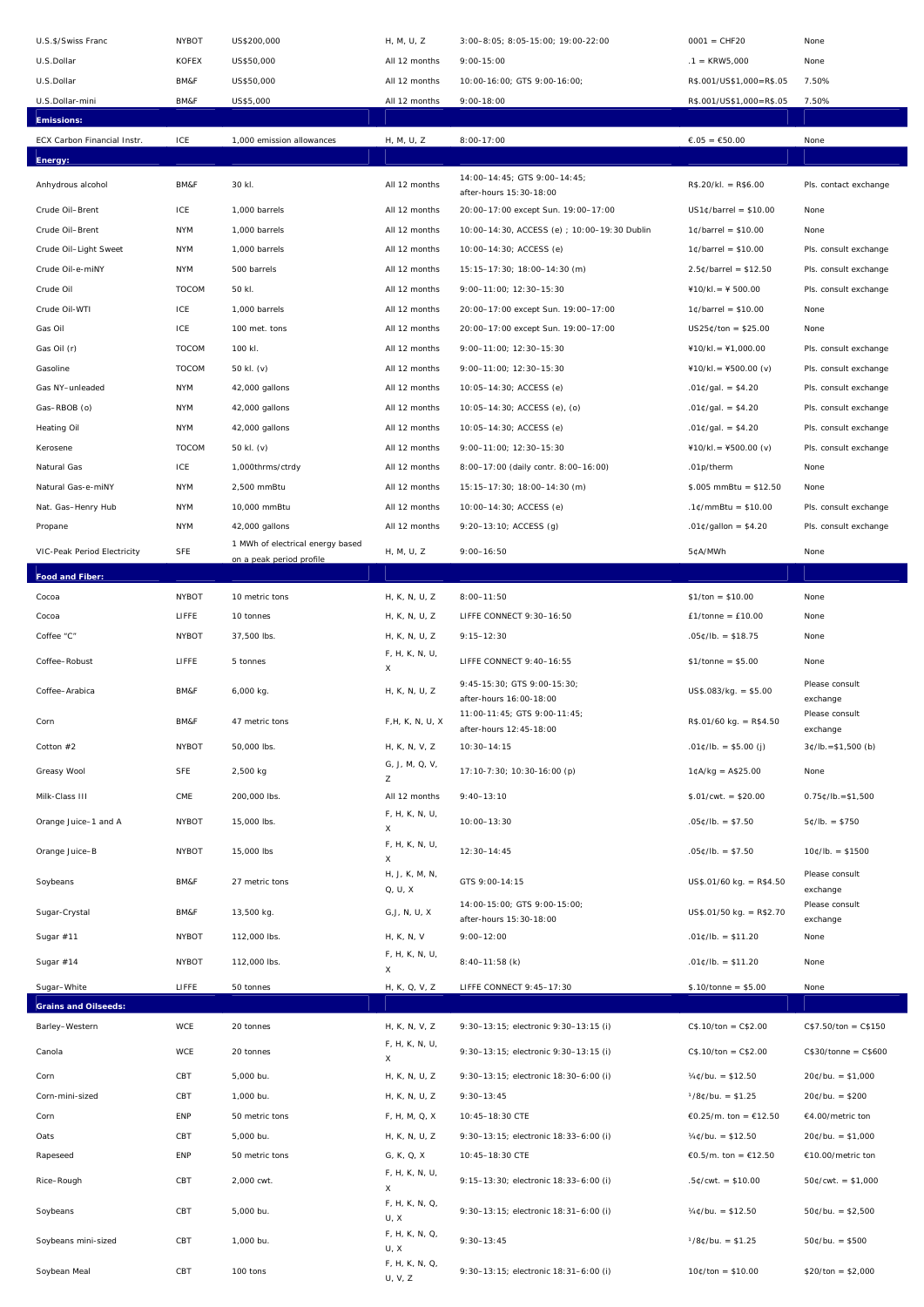| U.S.\$/Swiss Franc          | <b>NYBOT</b> | US\$200,000                      | H, M, U, Z                               | 3:00-8:05; 8:05-15:00; 19:00-22:00                      | $0001 = CHF20$                | None                       |
|-----------------------------|--------------|----------------------------------|------------------------------------------|---------------------------------------------------------|-------------------------------|----------------------------|
| U.S.Dollar                  | <b>KOFEX</b> | US\$50,000                       | All 12 months                            | $9:00 - 15:00$                                          | $.1 =$ KRW5,000               | None                       |
| U.S.Dollar                  | BM&F         | US\$50,000                       | All 12 months                            | 10:00-16:00; GTS 9:00-16:00;                            | R\$.001/US\$1,000=R\$.05      | 7.50%                      |
| U.S.Dollar-mini             | BM&F         | US\$5,000                        | All 12 months                            | $9:00 - 18:00$                                          | R\$.001/US\$1,000=R\$.05      | 7.50%                      |
| <b>Emissions:</b>           |              |                                  |                                          |                                                         |                               |                            |
| ECX Carbon Financial Instr. | ICE          | 1,000 emission allowances        | H, M, U, Z                               | $8:00-17:00$                                            | €.05 = €50.00                 | None                       |
| Energy:                     |              |                                  |                                          |                                                         |                               |                            |
| Anhydrous alcohol           | BM&F         | 30 kl.                           | All 12 months                            | 14:00-14:45; GTS 9:00-14:45;<br>after-hours 15:30-18:00 | $R$.20/kI. = R$6.00$          | Pls. contact exchange      |
| Crude Oil-Brent             | ICE          | 1,000 barrels                    | All 12 months                            | 20:00-17:00 except Sun. 19:00-17:00                     | $US1¢/barrel = $10.00$        | None                       |
| Crude Oil-Brent             | <b>NYM</b>   | 1,000 barrels                    | All 12 months                            | 10:00-14:30, ACCESS (e) ; 10:00-19:30 Dublin            | $1¢$ /barrel = \$10.00        | None                       |
| Crude Oil-Light Sweet       | <b>NYM</b>   | 1,000 barrels                    | All 12 months                            | 10:00-14:30; ACCESS (e)                                 | $1¢$ /barrel = \$10.00        | Pls. consult exchange      |
| Crude Oil-e-miNY            | <b>NYM</b>   | 500 barrels                      | All 12 months                            | 15:15-17:30; 18:00-14:30 (m)                            | $2.5¢/barrel = $12.50$        | Pls. consult exchange      |
| Crude Oil                   | <b>TOCOM</b> | 50 kl.                           | All 12 months                            | 9:00-11:00; 12:30-15:30                                 | $410/kl = 4500.00$            | Pls. consult exchange      |
| Crude Oil-WTI               | ICE          | 1,000 barrels                    | All 12 months                            | 20:00-17:00 except Sun. 19:00-17:00                     | $1¢$ /barrel = \$10.00        | None                       |
| Gas Oil                     | ICE          | 100 met. tons                    | All 12 months                            | 20:00-17:00 except Sun. 19:00-17:00                     | $US25¢/ton = $25.00$          | None                       |
| Gas Oil (r)                 | <b>TOCOM</b> | 100 kl.                          | All 12 months                            | 9:00-11:00; 12:30-15:30                                 | $410/kl = 41,000.00$          | Pls. consult exchange      |
| Gasoline                    | <b>TOCOM</b> | 50 kl. (v)                       | All 12 months                            | 9:00-11:00; 12:30-15:30                                 | $410/kl = 4500.00 (v)$        | Pls. consult exchange      |
| Gas NY-unleaded             | <b>NYM</b>   | 42,000 gallons                   | All 12 months                            | 10:05-14:30; ACCESS (e)                                 | .01¢/gal. = \$4.20            | Pls. consult exchange      |
| Gas-RBOB (o)                | <b>NYM</b>   | 42,000 gallons                   | All 12 months                            | 10:05-14:30; ACCESS (e), (o)                            | .01¢/gal. = \$4.20            | Pls. consult exchange      |
| Heating Oil                 | <b>NYM</b>   | 42,000 gallons                   | All 12 months                            | 10:05-14:30; ACCESS (e)                                 | .01¢/gal. = \$4.20            | Pls. consult exchange      |
| Kerosene                    | <b>TOCOM</b> | 50 kl. (v)                       | All 12 months                            | 9:00-11:00; 12:30-15:30                                 | $410/kl = 4500.00 (v)$        | Pls. consult exchange      |
| Natural Gas                 | ICE          | 1,000thrms/ctrdy                 | All 12 months                            | 8:00-17:00 (daily contr. 8:00-16:00)                    | .01p/therm                    | None                       |
| Natural Gas-e-miNY          | <b>NYM</b>   | 2,500 mmBtu                      | All 12 months                            | 15:15-17:30; 18:00-14:30 (m)                            | $$.005$ mmBtu = \$12.50       | None                       |
| Nat. Gas-Henry Hub          | <b>NYM</b>   | 10,000 mmBtu                     | All 12 months                            | 10:00-14:30; ACCESS (e)                                 | $.1$ ¢/mmBtu = \$10.00        | Pls. consult exchange      |
| Propane                     | <b>NYM</b>   | 42,000 gallons                   | All 12 months                            | 9:20-13:10; ACCESS (g)                                  | .01¢/gallon = \$4.20          | Pls. consult exchange      |
| VIC-Peak Period Electricity | SFE          | 1 MWh of electrical energy based | H, M, U, Z                               | $9:00 - 16:50$                                          | 5¢A/MWh                       | None                       |
|                             |              | on a peak period profile         |                                          |                                                         |                               |                            |
| Food and Fiber:             |              |                                  |                                          |                                                         |                               |                            |
| Cocoa                       | <b>NYBOT</b> | 10 metric tons                   | H, K, N, U, Z                            | $8:00 - 11:50$                                          | $$1/ton = $10.00$             | None                       |
| Cocoa                       | LIFFE        | 10 tonnes                        | H, K, N, U, Z                            | LIFFE CONNECT 9:30-16:50                                | $£1/tonne = £10.00$           | None                       |
| Coffee "C"                  | <b>NYBOT</b> | 37,500 lbs.                      | H, K, N, U, Z                            | $9:15 - 12:30$                                          | $.05¢/lb. = $18.75$           | None                       |
| Coffee-Robust               | LIFFE        | 5 tonnes                         | F, H, K, N, U,<br>X                      | LIFFE CONNECT 9:40-16:55                                | $$1/tonne = $5.00$            | None                       |
| Coffee-Arabica              | BM&F         | 6,000 kg.                        | H, K, N, U, Z                            | 9:45-15:30; GTS 9:00-15:30;<br>after-hours 16:00-18:00  | $US$.083/kg. = $5.00$         | Please consult<br>exchange |
| Corn                        | BM&F         | 47 metric tons                   | F, H, K, N, U, X                         | 11:00-11:45; GTS 9:00-11:45;<br>after-hours 12:45-18:00 | $R$.01/60 kg. = R$4.50$       | Please consult<br>exchange |
| Cotton $#2$                 | <b>NYBOT</b> | 50,000 lbs.                      | H, K, N, V, Z                            | $10:30 - 14:15$                                         | $.01¢/lb. = $5.00(j)$         | $3¢/lb. = $1,500 (b)$      |
|                             |              |                                  | G, J, M, Q, V,                           | 17:10-7:30; 10:30-16:00 (p)                             | $1¢A/kg = A$25.00$            |                            |
| Greasy Wool                 | <b>SFE</b>   | 2,500 kg                         | Z                                        |                                                         |                               | None                       |
| Milk-Class III              | CME          | 200,000 lbs.                     | All 12 months                            | $9:40 - 13:10$                                          | $$.01/cwt. = $20.00$          | $0.75C/D = $1,500$         |
| Orange Juice-1 and A        | <b>NYBOT</b> | 15,000 lbs.                      | F, H, K, N, U,<br>X<br>F, H, K, N, U,    | $10:00 - 13:30$                                         | $.05¢/lb. = $7.50$            | $5¢/lb. = $750$            |
| Orange Juice-B              | <b>NYBOT</b> | 15,000 lbs                       | X                                        | $12:30 - 14:45$                                         | $.05¢/lb. = $7.50$            | $10¢/lb. = $1500$          |
| Soybeans                    | BM&F         |                                  | H, J, K, M, N,                           |                                                         |                               |                            |
|                             |              | 27 metric tons                   |                                          | GTS 9:00-14:15                                          | $US$.01/60 kg. = R$4.50$      | Please consult             |
| Sugar-Crystal               |              |                                  | Q, U, X                                  |                                                         |                               | exchange                   |
|                             | BM&F         | 13,500 kg.                       | G, J, N, U, X                            | 14:00-15:00; GTS 9:00-15:00;<br>after-hours 15:30-18:00 | US\$.01/50 kg. = R\$2.70      | Please consult<br>exchange |
| Sugar #11                   | <b>NYBOT</b> | 112,000 lbs.                     | H, K, N, V<br>F, H, K, N, U,             | $9:00 - 12:00$                                          | $.01¢/lb. = $11.20$           | None                       |
| Sugar #14                   | <b>NYBOT</b> | 112,000 lbs.                     | X                                        | $8:40-11:58$ (k)                                        | $.01¢/lb. = $11.20$           | None                       |
| Sugar-White                 | LIFFE        | 50 tonnes                        | H, K, Q, V, Z                            | LIFFE CONNECT 9: 45-17:30                               | $$.10/tonne = $5.00$          | None                       |
| <b>Grains and Oilseeds:</b> |              |                                  |                                          |                                                         |                               |                            |
| Barley-Western              | WCE          | 20 tonnes                        | H, K, N, V, Z                            | 9:30-13:15; electronic 9:30-13:15 (i)                   | $CS.10/ton = C$2.00$          | $C$7.50/ton = C$150$       |
| Canola                      | WCE          | 20 tonnes                        | F, H, K, N, U,<br>X                      | 9:30-13:15; electronic 9:30-13:15 (i)                   | $CS.10/ton = C$2.00$          | $C$30/tonne = C$600$       |
| Corn                        | CBT          | 5,000 bu.                        | H, K, N, U, Z                            | 9:30-13:15; electronic 18:30-6:00 (i)                   | $\frac{1}{4}$ ¢/bu. = \$12.50 | $20¢/bu. = $1,000$         |
| Corn-mini-sized             | CBT          | 1,000 bu.                        | H, K, N, U, Z                            | $9:30 - 13:45$                                          | $1/8$ ¢/bu. = \$1.25          | $20¢/bu. = $200$           |
| Corn                        | ENP          | 50 metric tons                   | F, H, M, Q, X                            | 10:45-18:30 CTE                                         | €0.25/m. ton = €12.50         | €4.00/metric ton           |
| Oats                        | CBT          | 5,000 bu.                        | H, K, N, U, Z                            | 9:30-13:15; electronic 18:33-6:00 (i)                   | $\frac{1}{4}$ ¢/bu. = \$12.50 | $20$ ¢/bu. = \$1,000       |
| Rapeseed                    | ENP          | 50 metric tons                   | G, K, Q, X                               | 10:45-18:30 CTE                                         | €0.5/m. ton = €12.50          | €10.00/metric ton          |
| Rice-Rough                  | CBT          | 2,000 cwt.                       | F, H, K, N, U,<br>X                      | 9:15-13:30; electronic 18:33-6:00 (i)                   | $.5¢/cwt. = $10.00$           | $50¢/cwt. = $1,000$        |
| Soybeans                    | CBT          | 5,000 bu.                        | F, H, K, N, Q,<br>U, X                   | 9:30-13:15; electronic 18:31-6:00 (i)                   | $\frac{1}{4}$ ¢/bu. = \$12.50 | $50¢/bu. = $2,500$         |
| Soybeans mini-sized         | CBT          | 1,000 bu.                        | F, H, K, N, Q,<br>U, X<br>F, H, K, N, Q, | $9:30 - 13:45$                                          | $1/8$ ¢/bu. = \$1.25          | $50¢/bu. = $500$           |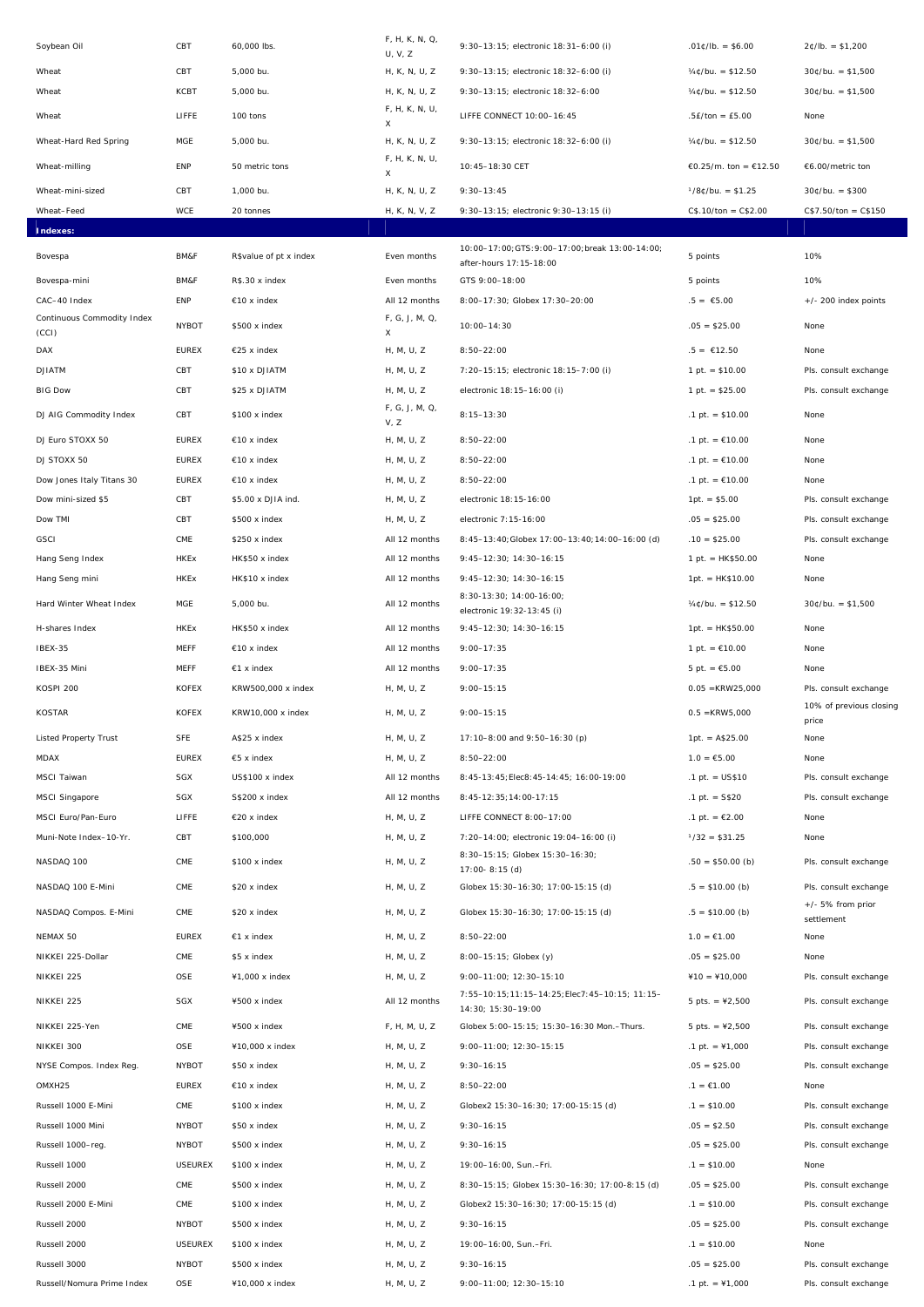| Soybean Oil                         | CBT                            | 60,000 lbs.                    | F, H, K, N, Q,<br>U, V, Z | 9:30-13:15; electronic 18:31-6:00 (i)                               | $.01¢/lb. = $6.00$               | $2¢/lb. = $1,200$                |
|-------------------------------------|--------------------------------|--------------------------------|---------------------------|---------------------------------------------------------------------|----------------------------------|----------------------------------|
| Wheat                               | CBT                            | 5,000 bu.                      | H, K, N, U, Z             | 9:30-13:15; electronic 18:32-6:00 (i)                               | $\frac{1}{4}$ C/bu. = \$12.50    | $30¢/bu. = $1,500$               |
| Wheat                               | <b>KCBT</b>                    | 5,000 bu.                      | H, K, N, U, Z             | 9:30-13:15; electronic 18:32-6:00                                   | $\frac{1}{4}$ ¢/bu. = \$12.50    | $30¢/bu. = $1,500$               |
| Wheat                               | LIFFE                          | 100 tons                       | F, H, K, N, U,            | LIFFE CONNECT 10:00-16:45                                           | $.5E/ton = £5.00$                | None                             |
| Wheat-Hard Red Spring               | MGE                            | 5,000 bu.                      | X<br>H, K, N, U, Z        | 9:30-13:15; electronic 18:32-6:00 (i)                               | $\frac{1}{4}$ C/bu. = \$12.50    | $30¢/bu. = $1,500$               |
|                                     |                                |                                | F, H, K, N, U,            |                                                                     |                                  |                                  |
| Wheat-milling                       | ENP                            | 50 metric tons                 | X                         | 10:45-18:30 CET                                                     | €0.25/m. ton = €12.50            | €6.00/metric ton                 |
| Wheat-mini-sized                    | CBT                            | 1.000 bu.                      | H, K, N, U, Z             | $9:30 - 13:45$                                                      | $1/8$ ¢/bu. = \$1.25             | $30¢/bu. = $300$                 |
| Wheat-Feed                          | <b>WCE</b>                     | 20 tonnes                      | H, K, N, V, Z             | 9:30-13:15; electronic 9:30-13:15 (i)                               | $CS.10/ton = C$2.00$             | $C$7.50/ton = C$150$             |
| Indexes:                            |                                |                                |                           | 10:00-17:00; GTS: 9:00-17:00; break 13:00-14:00;                    |                                  |                                  |
| Bovespa                             | BM&F                           | R\$value of pt x index         | Even months               | after-hours 17:15-18:00                                             | 5 points                         | 10%                              |
| Bovespa-mini                        | BM&F                           | R\$.30 x index                 | Even months               | GTS 9:00-18:00                                                      | 5 points                         | 10%                              |
| CAC-40 Index                        | ENP                            | $€10 \times index$             | All 12 months             | 8:00-17:30; Globex 17:30-20:00                                      | $.5 = £5.00$                     | +/- 200 index points             |
| Continuous Commodity Index<br>(CCI) | <b>NYBOT</b>                   | \$500 x index                  | F, G, J, M, Q,<br>X       | $10:00 - 14:30$                                                     | $.05 = $25.00$                   | None                             |
| DAX                                 | <b>EUREX</b>                   | €25 x index                    | H, M, U, Z                | $8:50 - 22:00$                                                      | $.5 = £12.50$                    | None                             |
| <b>DJIATM</b>                       | CBT                            | \$10 x DJIATM                  | H, M, U, Z                | 7:20-15:15; electronic 18:15-7:00 (i)                               | $1 pt. = $10.00$                 | Pls. consult exchange            |
| <b>BIG Dow</b>                      | CBT                            | \$25 x DJIATM                  | H, M, U, Z                | electronic 18:15-16:00 (i)                                          | 1 pt. $=$ \$25.00                | Pls. consult exchange            |
| DJ AIG Commodity Index              | CBT                            | \$100 x index                  | F, G, J, M, Q,            | $8:15 - 13:30$                                                      | .1 pt. $= $10.00$                | None                             |
| DJ Euro STOXX 50                    | <b>EUREX</b>                   | $€10 \times index$             | V, Z<br>H, M, U, Z        | $8:50 - 22:00$                                                      | .1 pt. = €10.00                  | None                             |
| DJ STOXX 50                         | <b>EUREX</b>                   | $€10 x$ index                  | H, M, U, Z                | $8:50 - 22:00$                                                      | .1 pt. = €10.00                  | None                             |
| Dow Jones Italy Titans 30           | <b>EUREX</b>                   | $€10 x$ index                  | H, M, U, Z                | $8:50 - 22:00$                                                      | .1 pt. = €10.00                  | None                             |
| Dow mini-sized \$5                  | CBT                            | \$5.00 x DJIA ind.             | H, M, U, Z                | electronic 18:15-16:00                                              | $1pt. = $5.00$                   | Pls. consult exchange            |
| Dow TMI                             | CBT                            | \$500 x index                  | H, M, U, Z                | electronic 7:15-16:00                                               | $.05 = $25.00$                   | Pls. consult exchange            |
| <b>GSCI</b>                         | CME                            | \$250 x index                  | All 12 months             | 8:45-13:40; Globex 17:00-13:40; 14:00-16:00 (d)                     | $.10 = $25.00$                   | Pls. consult exchange            |
| Hang Seng Index                     | <b>HKEx</b>                    | HK\$50 x index                 | All 12 months             | 9:45-12:30; 14:30-16:15                                             | $1 pt. = HK$50.00$               | None                             |
| Hang Seng mini                      | <b>HKEx</b>                    | HK\$10 x index                 | All 12 months             | 9:45-12:30; 14:30-16:15                                             | $1pt. = HK$10.00$                | None                             |
| Hard Winter Wheat Index             | MGE                            | 5,000 bu.                      | All 12 months             | 8:30-13:30; 14:00-16:00;<br>electronic 19:32-13:45 (i)              | $\frac{1}{4}$ ¢/bu. = \$12.50    | $30¢/bu. = $1,500$               |
| H-shares Index                      | HKEx                           | HK\$50 x index                 | All 12 months             | 9:45-12:30; 14:30-16:15                                             | $1pt. = HK$50.00$                | None                             |
| IBEX-35                             | <b>MEFF</b>                    | €10 x index                    | All 12 months             | $9:00 - 17:35$                                                      | 1 pt. = $€10.00$                 | None                             |
| IBEX-35 Mini                        | <b>MEFF</b>                    | $€1$ x index                   | All 12 months             | $9:00 - 17:35$                                                      | 5 pt. $=$ $£5.00$                | None                             |
| KOSPI 200                           | <b>KOFEX</b>                   | KRW500,000 x index             | H, M, U, Z                | $9:00 - 15:15$                                                      | $0.05 = KRW25,000$               | Pls. consult exchange            |
| <b>KOSTAR</b>                       | <b>KOFEX</b>                   | KRW10,000 x index              | H, M, U, Z                | $9:00 - 15:15$                                                      | $0.5 = KRW5,000$                 | 10% of previous closing<br>price |
| <b>Listed Property Trust</b>        | SFE                            | A\$25 x index                  | H, M, U, Z                | 17:10-8:00 and 9:50-16:30 (p)                                       | $1pt. = A$25.00$                 | None                             |
| <b>MDAX</b>                         | <b>EUREX</b>                   | $€5$ x index                   | H, M, U, Z                | $8:50 - 22:00$                                                      | $1.0 = \text{\textsterling}5.00$ | None                             |
| MSCI Taiwan                         | SGX                            | US\$100 x index                | All 12 months             | 8:45-13:45; Elec8: 45-14: 45; 16:00-19:00                           | $.1$ pt. = US\$10                | Pls. consult exchange            |
| MSCI Singapore                      | SGX                            | S\$200 x index                 | All 12 months             | 8:45-12:35;14:00-17:15                                              | $.1$ pt. = S\$20                 | Pls. consult exchange            |
| MSCI Euro/Pan-Euro                  | LIFFE                          | $€20 x$ index                  | H, M, U, Z                | LIFFE CONNECT 8:00-17:00                                            | .1 pt. = €2.00                   | None                             |
| Muni-Note Index-10-Yr.              | CBT                            | \$100,000                      | H, M, U, Z                | 7:20-14:00; electronic 19:04-16:00 (i)                              | $1/32 = $31.25$                  | None                             |
| NASDAQ 100                          | CME                            | \$100 x index                  | H, M, U, Z                | 8:30-15:15; Globex 15:30-16:30;<br>$17:00 - 8:15$ (d)               | $.50 = $50.00$ (b)               | Pls. consult exchange            |
| NASDAQ 100 E-Mini                   | CME                            | \$20 x index                   | H, M, U, Z                | Globex 15:30-16:30; 17:00-15:15 (d)                                 | $.5 = $10.00$ (b)                | Pls. consult exchange            |
| NASDAQ Compos. E-Mini               | CME                            | \$20 x index                   | H, M, U, Z                | Globex 15:30-16:30; 17:00-15:15 (d)                                 | $.5 = $10.00$ (b)                | $+/- 5\%$ from prior             |
| NEMAX 50                            | <b>EUREX</b>                   | $€1$ x index                   | H, M, U, Z                | $8:50 - 22:00$                                                      | $1.0 = \text{\textsterling}1.00$ | settlement<br>None               |
| NIKKEI 225-Dollar                   | CME                            | \$5 x index                    | H, M, U, Z                | 8:00-15:15; Globex (y)                                              | $.05 = $25.00$                   | None                             |
| NIKKEI 225                          | OSE                            | ¥1,000 x index                 | H, M, U, Z                | 9:00-11:00; 12:30-15:10                                             | $¥10 = ¥10,000$                  | Pls. consult exchange            |
| NIKKEI 225                          | SGX                            | ¥500 x index                   | All 12 months             | 7:55-10:15;11:15-14:25;Elec7:45-10:15; 11:15-<br>14:30; 15:30-19:00 | $5 \text{ pts.} = 42,500$        | Pls. consult exchange            |
| NIKKEI 225-Yen                      | $\mathsf{CME}$                 | ¥500 x index                   | F, H, M, U, Z             | Globex 5:00-15:15; 15:30-16:30 Mon.-Thurs.                          | $5 \text{ pts.} = 42,500$        | Pls. consult exchange            |
| NIKKEI 300                          | OSE                            | ¥10,000 x index                | H, M, U, Z                | 9:00-11:00; 12:30-15:15                                             | $.1 \text{ pt.} = 1,000$         | Pls. consult exchange            |
| NYSE Compos. Index Reg.             | <b>NYBOT</b>                   | \$50 x index                   | H, M, U, Z                | $9:30 - 16:15$                                                      | $.05 = $25.00$                   | Pls. consult exchange            |
| OMXH25                              | <b>EUREX</b>                   | $€10 \times index$             | H, M, U, Z                | $8:50 - 22:00$                                                      | $.1 = £1.00$                     | None                             |
| Russell 1000 E-Mini                 | CME                            | \$100 x index                  | H, M, U, Z                | Globex2 15:30-16:30; 17:00-15:15 (d)                                | $.1 = $10.00$                    | Pls. consult exchange            |
| Russell 1000 Mini                   | <b>NYBOT</b>                   | \$50 x index                   | H, M, U, Z                | $9:30 - 16:15$                                                      | $.05 = $2.50$                    | Pls. consult exchange            |
| Russell 1000-reg.                   | <b>NYBOT</b>                   | \$500 x index                  | H, M, U, Z                | $9:30 - 16:15$                                                      | $.05 = $25.00$                   | Pls. consult exchange            |
| Russell 1000                        | <b>USEUREX</b>                 | \$100 x index                  | H, M, U, Z                | 19:00-16:00, Sun.-Fri.                                              | $.1 = $10.00$                    | None                             |
| Russell 2000                        | CME                            | \$500 x index                  | H, M, U, Z                | 8:30-15:15; Globex 15:30-16:30; 17:00-8:15 (d)                      | $.05 = $25.00$                   | Pls. consult exchange            |
| Russell 2000 E-Mini                 | CME                            | \$100 x index                  | H, M, U, Z                | Globex2 15:30-16:30; 17:00-15:15 (d)                                | $.1 = $10.00$                    | Pls. consult exchange            |
| Russell 2000<br>Russell 2000        | <b>NYBOT</b><br><b>USEUREX</b> | \$500 x index<br>\$100 x index | H, M, U, Z<br>H, M, U, Z  | $9:30 - 16:15$<br>19:00-16:00, Sun.-Fri.                            | $.05 = $25.00$<br>$.1 = $10.00$  | Pls. consult exchange<br>None    |
| Russell 3000                        | <b>NYBOT</b>                   | \$500 x index                  | H, M, U, Z                | $9:30 - 16:15$                                                      | $.05 = $25.00$                   | Pls. consult exchange            |
| Russell/Nomura Prime Index          | OSE                            | ¥10,000 x index                | H, M, U, Z                | 9:00-11:00; 12:30-15:10                                             | .1 pt. = $41,000$                | Pls. consult exchange            |
|                                     |                                |                                |                           |                                                                     |                                  |                                  |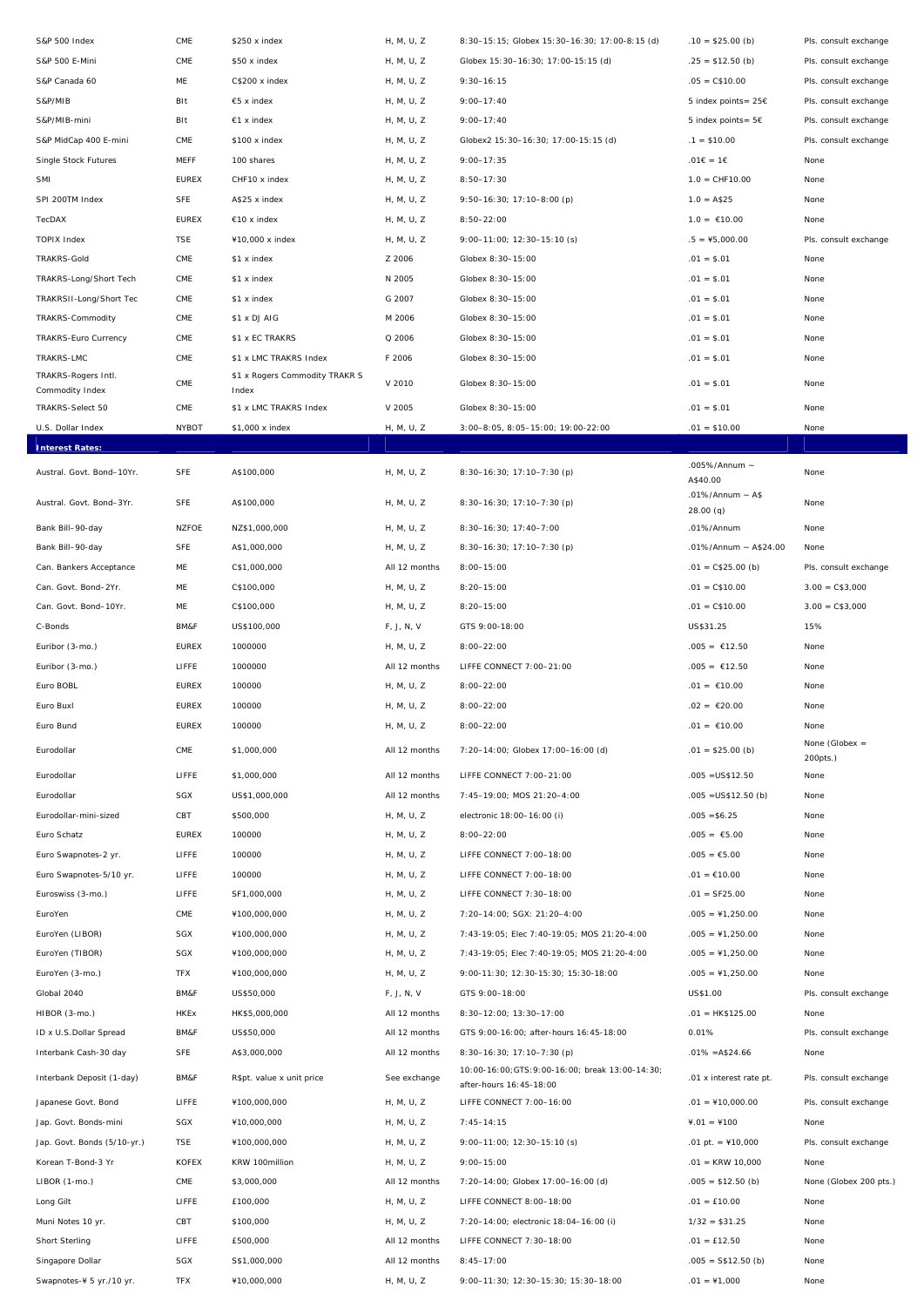| S&P 500 Index               | CME            | \$250 x index                  | H, M, U, Z    | 8:30-15:15; Globex 15:30-16:30; 17:00-8:15 (d)                              | $.10 = $25.00$ (b)                | Pls. consult exchange        |
|-----------------------------|----------------|--------------------------------|---------------|-----------------------------------------------------------------------------|-----------------------------------|------------------------------|
| S&P 500 E-Mini              | $\mathsf{CME}$ | \$50 x index                   | H, M, U, Z    | Globex 15:30-16:30; 17:00-15:15 (d)                                         | $.25 = $12.50$ (b)                | Pls. consult exchange        |
| S&P Canada 60               | ME             | C\$200 x index                 | H, M, U, Z    | $9:30 - 16:15$                                                              | $.05 = C$10.00$                   | Pls. consult exchange        |
| S&P/MIB                     | BIt            | €5 x index                     | H, M, U, Z    | $9:00 - 17:40$                                                              | 5 index points= 25€               | Pls. consult exchange        |
| S&P/MIB-mini                | Blt            | $€1 x$ index                   | H, M, U, Z    | $9:00 - 17:40$                                                              | 5 index points= $5 \in$           | Pls. consult exchange        |
| S&P MidCap 400 E-mini       | CME            | \$100 x index                  | H, M, U, Z    | Globex2 15:30-16:30; 17:00-15:15 (d)                                        | $.1 = $10.00$                     | Pls. consult exchange        |
| Single Stock Futures        | MEFF           | 100 shares                     | H, M, U, Z    | $9:00 - 17:35$                                                              | $.01 \in .1 \in$                  | None                         |
| SMI                         | <b>EUREX</b>   | CHF10 x index                  | H, M, U, Z    | $8:50 - 17:30$                                                              | $1.0 = CHF10.00$                  | None                         |
| SPI 200TM Index             | <b>SFE</b>     | A\$25 x index                  | H, M, U, Z    | 9:50-16:30; 17:10-8:00 (p)                                                  | $1.0 = A$25$                      | None                         |
| TecDAX                      | <b>EUREX</b>   | $€10 \times index$             | H, M, U, Z    | $8:50 - 22:00$                                                              | $1.0 = \text{\textsterling}10.00$ | None                         |
| <b>TOPIX Index</b>          | TSE            | ¥10,000 x index                | H, M, U, Z    | 9:00-11:00; 12:30-15:10 (s)                                                 | $.5 = 45,000.00$                  | Pls. consult exchange        |
| <b>TRAKRS-Gold</b>          | CME            | \$1 x index                    | Z 2006        | Globex 8:30-15:00                                                           | $.01 = $.01$                      | None                         |
| TRAKRS-Long/Short Tech      | CME            | \$1 x index                    | N 2005        | Globex 8:30-15:00                                                           | $.01 = $.01$                      | None                         |
| TRAKRSII-Long/Short Tec     | CME            | \$1 x index                    | G 2007        | Globex 8:30-15:00                                                           | $.01 = $.01$                      | None                         |
| TRAKRS-Commodity            | CME            | \$1 x DJ AIG                   | M 2006        | Globex 8:30-15:00                                                           | $.01 = $.01$                      | None                         |
| TRAKRS-Euro Currency        | CME            | \$1 x EC TRAKRS                | Q 2006        | Globex 8:30-15:00                                                           | $.01 = $.01$                      | None                         |
| <b>TRAKRS-LMC</b>           | CME            | \$1 x LMC TRAKRS Index         | F 2006        | Globex 8:30-15:00                                                           | $.01 = $.01$                      | None                         |
| TRAKRS-Rogers Intl.         |                | \$1 x Rogers Commodity TRAKR S |               |                                                                             |                                   |                              |
| Commodity Index             | CME            | Index                          | V 2010        | Globex 8:30-15:00                                                           | $.01 = $.01$                      | None                         |
| TRAKRS-Select 50            | CME            | \$1 x LMC TRAKRS Index         | V 2005        | Globex 8:30-15:00                                                           | $.01 = $.01$                      | None                         |
| U.S. Dollar Index           | <b>NYBOT</b>   | \$1,000 x index                | H, M, U, Z    | 3:00-8:05, 8:05-15:00; 19:00-22:00                                          | $.01 = $10.00$                    | None                         |
| <b>Interest Rates:</b>      |                |                                |               |                                                                             |                                   |                              |
| Austral. Govt. Bond-10Yr.   | <b>SFE</b>     | A\$100,000                     | H, M, U, Z    | 8:30-16:30; 17:10-7:30 (p)                                                  | .005%/Annum ~<br>A\$40.00         | None                         |
| Austral. Govt. Bond-3Yr.    | <b>SFE</b>     | A\$100,000                     | H, M, U, Z    | 8:30-16:30; 17:10-7:30 (p)                                                  | $.01\%$ /Annum ~ A\$              | None                         |
|                             |                |                                |               |                                                                             | 28.00(q)                          |                              |
| Bank Bill-90-day            | <b>NZFOE</b>   | NZ\$1,000,000                  | H, M, U, Z    | 8:30-16:30; 17:40-7:00                                                      | .01%/Annum                        | None                         |
| Bank Bill-90-day            | <b>SFE</b>     | A\$1,000,000                   | H, M, U, Z    | 8:30-16:30; 17:10-7:30 (p)                                                  | .01%/Annum ~ A\$24.00             | None                         |
| Can. Bankers Acceptance     | ME             | C\$1,000,000                   | All 12 months | $8:00 - 15:00$                                                              | $.01 = C$25.00 (b)$               | Pls. consult exchange        |
| Can. Govt. Bond-2Yr.        | ME             | C\$100,000                     | H, M, U, Z    | $8:20 - 15:00$                                                              | $.01 = C$10.00$                   | $3.00 = C$3,000$             |
| Can. Govt. Bond-10Yr.       | ME             | C\$100,000                     | H, M, U, Z    | $8:20 - 15:00$                                                              | $.01 = C$10.00$                   | $3.00 = C$3,000$             |
| C-Bonds                     | BM&F           | US\$100,000                    | F, J, N, V    | GTS 9:00-18:00                                                              | US\$31.25                         | 15%                          |
| Euribor (3-mo.)             | <b>EUREX</b>   | 1000000                        | H, M, U, Z    | $8:00 - 22:00$                                                              | $.005 = £12.50$                   | None                         |
| Euribor (3-mo.)             | LIFFE          | 1000000                        | All 12 months | LIFFE CONNECT 7:00-21:00                                                    | $.005 = £12.50$                   | None                         |
| Euro BOBL                   | <b>EUREX</b>   | 100000                         | H, M, U, Z    | $8:00 - 22:00$                                                              | $.01 = £10.00$                    | None                         |
| Euro Buxl                   | <b>EUREX</b>   | 100000                         | H, M, U, Z    | $8:00 - 22:00$                                                              | $.02 = £20.00$                    | None                         |
| Euro Bund                   | <b>EUREX</b>   | 100000                         | H, M, U, Z    | $8:00 - 22:00$                                                              | $.01 = £10.00$                    | None                         |
| Eurodollar                  | CME            | \$1,000,000                    | All 12 months | 7:20-14:00; Globex 17:00-16:00 (d)                                          | $.01 = $25.00$ (b)                | None (Globex $=$<br>200pts.) |
| Eurodollar                  | LIFFE          | \$1,000,000                    | All 12 months | LIFFE CONNECT 7:00-21:00                                                    | $.005 = US$12.50$                 | None                         |
| Eurodollar                  | SGX            | US\$1,000,000                  | All 12 months | 7:45-19:00; MOS 21:20-4:00                                                  | $.005 = US$12.50 (b)$             | None                         |
| Eurodollar-mini-sized       | CBT            | \$500,000                      | H, M, U, Z    | electronic 18:00-16:00 (i)                                                  | $.005 = $6.25$                    | None                         |
| Euro Schatz                 | <b>EUREX</b>   | 100000                         | H, M, U, Z    | $8:00 - 22:00$                                                              | $.005 = £5.00$                    | None                         |
| Euro Swapnotes-2 yr.        | LIFFE          | 100000                         | H, M, U, Z    | LIFFE CONNECT 7:00-18:00                                                    | $.005 = \text{\textsterling}5.00$ | None                         |
| Euro Swapnotes-5/10 yr.     | LIFFE          | 100000                         | H, M, U, Z    | LIFFE CONNECT 7:00-18:00                                                    | $.01 = £10.00$                    | None                         |
| Euroswiss (3-mo.)           | LIFFE          | SF1,000,000                    | H, M, U, Z    | LIFFE CONNECT 7:30-18:00                                                    | $.01 =$ SF25.00                   | None                         |
| EuroYen                     | CME            | ¥100,000,000                   | H, M, U, Z    | 7:20-14:00; SGX: 21:20-4:00                                                 | $.005 = 1,250.00$                 | None                         |
| EuroYen (LIBOR)             | SGX            | ¥100,000,000                   | H, M, U, Z    | 7:43-19:05; Elec 7:40-19:05; MOS 21:20-4:00                                 | $.005 = 1,250.00$                 | None                         |
| EuroYen (TIBOR)             | SGX            | ¥100,000,000                   | H, M, U, Z    | 7:43-19:05; Elec 7:40-19:05; MOS 21:20-4:00                                 | $.005 = 1,250.00$                 | None                         |
| EuroYen (3-mo.)             | <b>TFX</b>     | ¥100,000,000                   | H, M, U, Z    | 9:00-11:30; 12:30-15:30; 15:30-18:00                                        | $.005 = 1,250.00$                 | None                         |
| Global 2040                 | BM&F           | US\$50,000                     | F, J, N, V    | GTS 9:00-18:00                                                              | US\$1.00                          | Pls. consult exchange        |
| HIBOR (3-mo.)               | <b>HKEx</b>    | HK\$5,000,000                  | All 12 months | 8:30-12:00; 13:30-17:00                                                     | $.01 = HK$125.00$                 | None                         |
| ID x U.S.Dollar Spread      | BM&F           | US\$50,000                     | All 12 months | GTS 9:00-16:00; after-hours 16:45-18:00                                     | 0.01%                             | Pls. consult exchange        |
| Interbank Cash-30 day       | <b>SFE</b>     | A\$3,000,000                   | All 12 months | 8:30-16:30; 17:10-7:30 (p)                                                  | $.01\% = A$24.66$                 | None                         |
| Interbank Deposit (1-day)   | BM&F           | R\$pt. value x unit price      | See exchange  | 10:00-16:00; GTS: 9:00-16:00; break 13:00-14:30;<br>after-hours 16:45-18:00 | .01 x interest rate pt.           | Pls. consult exchange        |
| Japanese Govt. Bond         | LIFFE          | ¥100,000,000                   | H, M, U, Z    | LIFFE CONNECT 7:00-16:00                                                    | $.01 =$ ¥10,000.00                | Pls. consult exchange        |
| Jap. Govt. Bonds-mini       | SGX            | ¥10,000,000                    | H, M, U, Z    | $7:45 - 14:15$                                                              | $4.01 = 1100$                     | None                         |
| Jap. Govt. Bonds (5/10-yr.) | <b>TSE</b>     | ¥100,000,000                   | H, M, U, Z    | 9:00-11:00; 12:30-15:10 (s)                                                 | .01 pt. = $410,000$               | Pls. consult exchange        |
| Korean T-Bond-3 Yr          | <b>KOFEX</b>   | KRW 100million                 | H, M, U, Z    | $9:00 - 15:00$                                                              | $.01$ = KRW 10,000                | None                         |
| LIBOR (1-mo.)               | CME            | \$3,000,000                    | All 12 months | 7:20-14:00; Globex 17:00-16:00 (d)                                          | $.005 = $12.50$ (b)               | None (Globex 200 pts.)       |
| Long Gilt                   | LIFFE          | £100,000                       | H, M, U, Z    | LIFFE CONNECT 8:00-18:00                                                    | $.01 = £10.00$                    | None                         |
| Muni Notes 10 yr.           | CBT            | \$100,000                      | H, M, U, Z    | 7:20-14:00; electronic 18:04-16:00 (i)                                      | $1/32 = $31.25$                   | None                         |
| Short Sterling              | LIFFE          | £500,000                       | All 12 months | LIFFE CONNECT 7:30-18:00                                                    | $.01 = £12.50$                    | None                         |
| Singapore Dollar            | SGX            | S\$1,000,000                   | All 12 months | $8:45 - 17:00$                                                              | $.005 =$ S\$12.50 (b)             | None                         |
| Swapnotes-¥ 5 yr./10 yr.    | <b>TFX</b>     | ¥10,000,000                    | H, M, U, Z    | 9:00-11:30; 12:30-15:30; 15:30-18:00                                        | $.01 = 1,000$                     | None                         |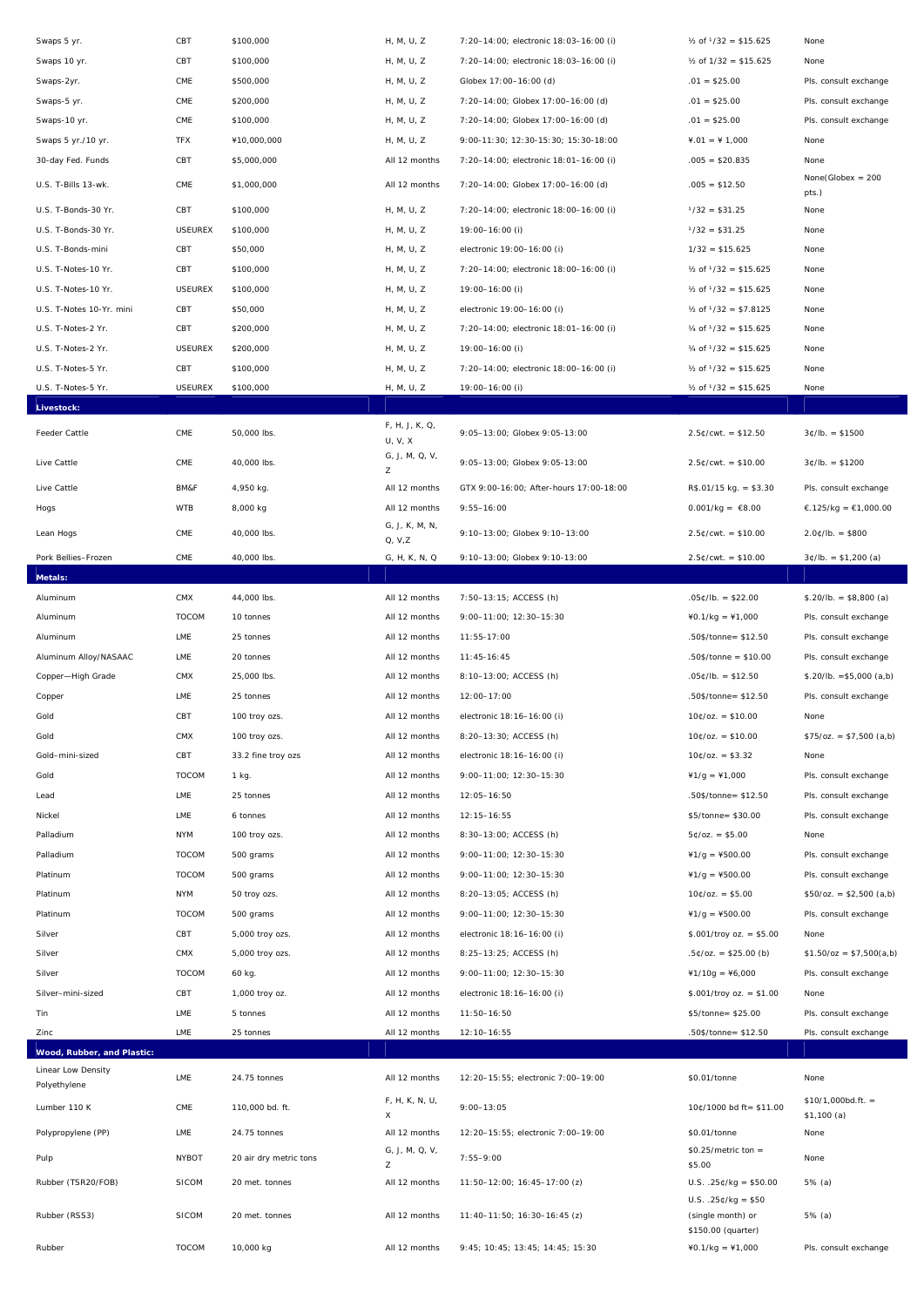| Swaps 5 yr.                        | CBT            | \$100,000              | H, M, U, Z                | 7:20-14:00; electronic 18:03-16:00 (i)  | $\frac{1}{2}$ of $\frac{1}{32}$ = \$15.625 | None                              |
|------------------------------------|----------------|------------------------|---------------------------|-----------------------------------------|--------------------------------------------|-----------------------------------|
| Swaps 10 yr.                       | CBT            | \$100,000              | H, M, U, Z                | 7:20-14:00; electronic 18:03-16:00 (i)  | $\frac{1}{2}$ of $\frac{1}{32}$ = \$15.625 | None                              |
| Swaps-2yr.                         | CME            | \$500,000              | H, M, U, Z                | Globex 17:00-16:00 (d)                  | $.01 = $25.00$                             | Pls. consult exchange             |
| Swaps-5 yr.                        | CME            | \$200,000              | H, M, U, Z                | 7:20-14:00; Globex 17:00-16:00 (d)      | $.01 = $25.00$                             | Pls. consult exchange             |
| Swaps-10 yr.                       | CME            | \$100,000              | H, M, U, Z                | 7:20-14:00; Globex 17:00-16:00 (d)      | $.01 = $25.00$                             | Pls. consult exchange             |
| Swaps 5 yr./10 yr.                 | <b>TFX</b>     | ¥10,000,000            | H, M, U, Z                | 9:00-11:30; 12:30-15:30; 15:30-18:00    | $4.01 = 41,000$                            | None                              |
| 30-day Fed. Funds                  | CBT            | \$5,000,000            | All 12 months             | 7:20-14:00; electronic 18:01-16:00 (i)  | $.005 = $20.835$                           | None                              |
| U.S. T-Bills 13-wk.                | CME            | \$1,000,000            | All 12 months             | 7:20-14:00; Globex 17:00-16:00 (d)      | $.005 = $12.50$                            | $None(Globex = 200$<br>pts.)      |
| U.S. T-Bonds-30 Yr.                | CBT            | \$100,000              | H, M, U, Z                | 7:20-14:00; electronic 18:00-16:00 (i)  | $1/32 = $31.25$                            | None                              |
| U.S. T-Bonds-30 Yr.                | <b>USEUREX</b> | \$100,000              | H, M, U, Z                | 19:00-16:00 (i)                         | $1/32 = $31.25$                            | None                              |
| U.S. T-Bonds-mini                  | CBT            | \$50,000               | H, M, U, Z                | electronic 19:00-16:00 (i)              | $1/32 = $15.625$                           | None                              |
| U.S. T-Notes-10 Yr.                | CBT            | \$100,000              | H, M, U, Z                | 7:20-14:00; electronic 18:00-16:00 (i)  | $\frac{1}{2}$ of $\frac{1}{32}$ = \$15.625 | None                              |
| U.S. T-Notes-10 Yr.                | <b>USEUREX</b> | \$100,000              | H, M, U, Z                | 19:00-16:00 (i)                         | $\frac{1}{2}$ of $\frac{1}{32}$ = \$15.625 | None                              |
| U.S. T-Notes 10-Yr. mini           | CBT            | \$50,000               | H, M, U, Z                | electronic 19:00-16:00 (i)              | $\frac{1}{2}$ of $\frac{1}{32}$ = \$7.8125 | None                              |
| U.S. T-Notes-2 Yr.                 | CBT            | \$200,000              | H, M, U, Z                | 7:20-14:00; electronic 18:01-16:00 (i)  | $\frac{1}{4}$ of $\frac{1}{32}$ = \$15.625 | None                              |
| U.S. T-Notes-2 Yr.                 | <b>USEUREX</b> | \$200,000              | H, M, U, Z                | 19:00-16:00 (i)                         | $\frac{1}{4}$ of $\frac{1}{32}$ = \$15.625 | None                              |
| U.S. T-Notes-5 Yr.                 | CBT            | \$100,000              | H, M, U, Z                | 7:20-14:00; electronic 18:00-16:00 (i)  | $\frac{1}{2}$ of $\frac{1}{32}$ = \$15.625 | None                              |
| U.S. T-Notes-5 Yr.                 | <b>USEUREX</b> | \$100,000              | H, M, U, Z                | 19:00-16:00 (i)                         | $\frac{1}{2}$ of $\frac{1}{32}$ = \$15.625 | None                              |
| Livestock:                         |                |                        |                           |                                         |                                            |                                   |
| Feeder Cattle                      | CME            | 50,000 lbs.            | F, H, J, K, Q,<br>U, V, X | 9:05-13:00; Globex 9:05-13:00           | $2.5¢/cwt. = $12.50$                       | $3¢/lb. = $1500$                  |
| Live Cattle                        | CME            | 40,000 lbs.            | G, J, M, Q, V,<br>Z       | 9:05-13:00; Globex 9:05-13:00           | $2.5¢/cwt. = $10.00$                       | $3¢/lb. = $1200$                  |
| Live Cattle                        | BM&F           | 4,950 kg.              | All 12 months             | GTX 9:00-16:00; After-hours 17:00-18:00 | $R$.01/15 kg. = $3.30$                     | Pls. consult exchange             |
| Hogs                               | <b>WTB</b>     | 8,000 kg               | All 12 months             | $9:55 - 16:00$                          | $0.001/kg = \text{\textsterling}8.00$      | €.125/kg = €1,000.00              |
| Lean Hogs                          | $\mathsf{CME}$ | 40,000 lbs.            | G, J, K, M, N,<br>Q, V, Z | 9:10-13:00; Globex 9:10-13:00           | $2.5¢/cwt. = $10.00$                       | $2.0$ ¢/lb. = \$800               |
| Pork Bellies-Frozen                | CME            | 40,000 lbs.            | G, H, K, N, Q             | 9:10-13:00; Globex 9:10-13:00           | $2.5¢/cwt. = $10.00$                       | $3¢/lb. = $1,200 (a)$             |
| Metals:                            |                |                        |                           |                                         |                                            |                                   |
| Aluminum                           | CMX            | 44,000 lbs.            | All 12 months             | 7:50-13:15; ACCESS (h)                  | $.05¢/lb. = $22.00$                        | $$.20/lb. = $8,800 (a)$           |
| Aluminum                           | TOCOM          | 10 tonnes              | All 12 months             | 9:00-11:00; 12:30-15:30                 | $40.1/kg = 41,000$                         | Pls. consult exchange             |
| Aluminum                           | LME            | 25 tonnes              | All 12 months             | $11:55-17:00$                           | .50\$/tonne= \$12.50                       | Pls. consult exchange             |
| Aluminum Alloy/NASAAC              | LME            | 20 tonnes              | All 12 months             | $11:45-16:45$                           | $.50$ \$/tonne = \$10.00                   | Pls. consult exchange             |
| Copper-High Grade                  | CMX            | 25,000 lbs.            | All 12 months             | 8:10-13:00; ACCESS (h)                  | $.05¢/lb. = $12.50$                        | $$.20/lb. = $5,000 (a,b)$         |
| Copper                             | LME            | 25 tonnes              | All 12 months             | 12:00-17:00                             | .50\$/tonne= \$12.50                       | Pls. consult exchange             |
| Gold                               | CBT            | 100 troy ozs.          | All 12 months             | electronic 18:16-16:00 (i)              | $10¢/oz = $10.00$                          | None                              |
| Gold                               | $\mathsf{CMX}$ | 100 troy ozs.          | All 12 months             | 8:20-13:30; ACCESS (h)                  | $10¢/oz. = $10.00$                         | $$75/oz. = $7,500 (a,b)$          |
| Gold-mini-sized                    | CBT            | 33.2 fine troy ozs     | All 12 months             | electronic 18:16-16:00 (i)              | $10¢/oz = $3.32$                           | None                              |
| Gold                               | TOCOM          | 1 kg.                  | All 12 months             | 9:00-11:00; 12:30-15:30                 | $41/g = 41,000$                            | Pls. consult exchange             |
| Lead                               | LME            | 25 tonnes              | All 12 months             | $12:05 - 16:50$                         | .50\$/tonne= \$12.50                       | Pls. consult exchange             |
| Nickel                             | LME            | 6 tonnes               | All 12 months             | $12:15 - 16:55$                         | \$5/tonne= \$30.00                         | Pls. consult exchange             |
| Palladium                          | <b>NYM</b>     | 100 troy ozs.          | All 12 months             | 8:30-13:00; ACCESS (h)                  | $5¢/oz. = $5.00$                           | None                              |
| Palladium                          | TOCOM          | 500 grams              | All 12 months             | 9:00-11:00; 12:30-15:30                 | $41/q = 4500.00$                           | Pls. consult exchange             |
| Platinum                           | <b>TOCOM</b>   | 500 grams              | All 12 months             | 9:00-11:00; 12:30-15:30                 | $41/g = 4500.00$                           | Pls. consult exchange             |
| Platinum                           | <b>NYM</b>     | 50 troy ozs.           | All 12 months             | 8:20-13:05; ACCESS (h)                  | $10¢/oz. = $5.00$                          | $$50/oz. = $2,500 (a,b)$          |
| Platinum                           | <b>TOCOM</b>   | 500 grams              | All 12 months             | 9:00-11:00; 12:30-15:30                 | $41/g = 4500.00$                           | Pls. consult exchange             |
| Silver                             | CBT            | 5,000 troy ozs.        | All 12 months             | electronic 18:16-16:00 (i)              | $$.001/$ troy oz. = \$5.00                 | None                              |
| Silver                             | CMX            | 5,000 troy ozs.        | All 12 months             | 8:25-13:25; ACCESS (h)                  | $.5¢/oz. = $25.00 (b)$                     | $$1.50/oz = $7,500(a,b)$          |
| Silver                             | TOCOM          | 60 kg.                 | All 12 months             | 9:00-11:00; 12:30-15:30                 | $41/10g = 46,000$                          | Pls. consult exchange             |
| Silver-mini-sized                  | CBT            | 1,000 troy oz.         | All 12 months             | electronic 18:16-16:00 (i)              | $$.001/$ troy oz. = \$1.00                 | None                              |
| Tin                                | LME            | 5 tonnes               | All 12 months             | $11:50 - 16:50$                         | \$5/tonne= \$25.00                         | Pls. consult exchange             |
| Zinc                               | LME            | 25 tonnes              | All 12 months             | 12:10-16:55                             | .50\$/tonne= \$12.50                       | Pls. consult exchange             |
| Wood, Rubber, and Plastic:         |                |                        |                           |                                         |                                            |                                   |
| Linear Low Density<br>Polyethylene | LME            | 24.75 tonnes           | All 12 months             | 12:20-15:55; electronic 7:00-19:00      | \$0.01/tonne                               | None                              |
| Lumber 110 K                       | $\mathsf{CME}$ | 110,000 bd. ft.        | F, H, K, N, U,<br>X       | $9:00 - 13:05$                          | 10¢/1000 bd ft= \$11.00                    | $$10/1,000bd.ft. =$<br>\$1,100(a) |
| Polypropylene (PP)                 | LME            | 24.75 tonnes           | All 12 months             | 12:20-15:55; electronic 7:00-19:00      | \$0.01/tonne                               | None                              |
| Pulp                               | <b>NYBOT</b>   | 20 air dry metric tons | G, J, M, Q, V,<br>Z       | $7:55 - 9:00$                           | $$0.25/metric ton =$<br>\$5.00             | None                              |
| Rubber (TSR20/FOB)                 | <b>SICOM</b>   | 20 met. tonnes         | All 12 months             | 11:50-12:00; 16:45-17:00 (z)            | $U.S. .25¢/kg = $50.00$                    | 5% (a)                            |
| Rubber (RSS3)                      | <b>SICOM</b>   | 20 met. tonnes         | All 12 months             | $11:40-11:50; 16:30-16:45 (z)$          | $U.S. .25¢/kg = $50$<br>(single month) or  | 5% (a)                            |
| Rubber                             | <b>TOCOM</b>   | 10,000 kg              | All 12 months             | 9:45; 10:45; 13:45; 14:45; 15:30        | \$150.00 (quarter)<br>$40.1/kg = 41,000$   | Pls. consult exchange             |
|                                    |                |                        |                           |                                         |                                            |                                   |